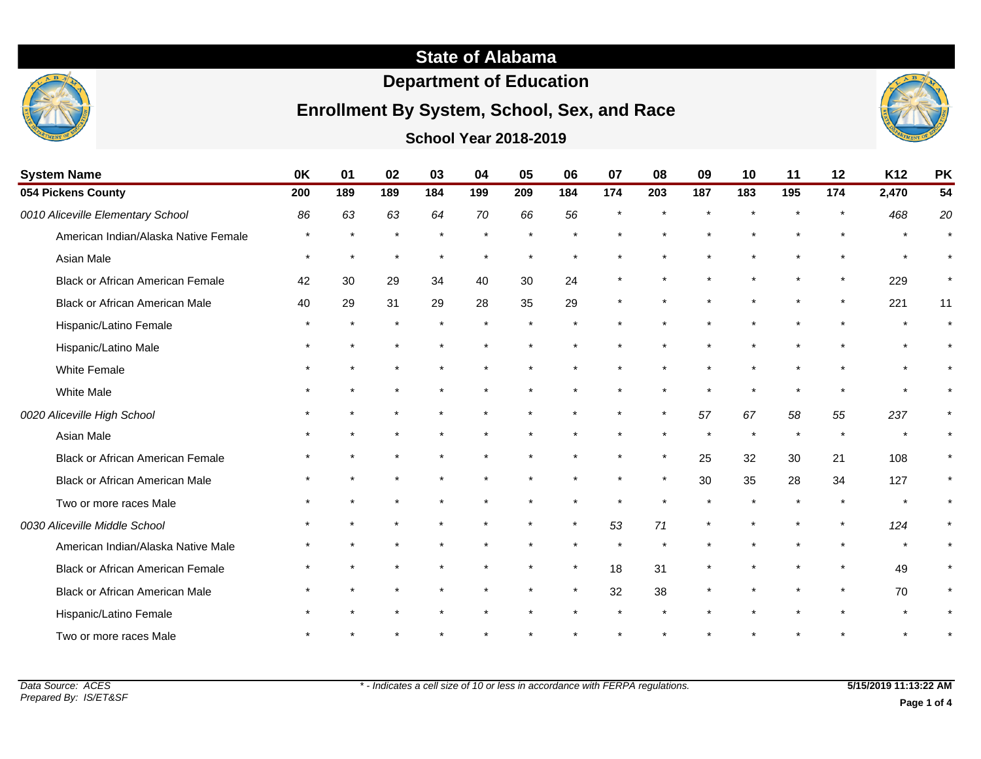# **State of Alabama**

# **Department of Education**

## **Enrollment By System, School, Sex, and Race**



| <b>School Year 2018-2019</b> |  |
|------------------------------|--|
|                              |  |

| <b>System Name</b>                      | 0K      | 01      | 02  | 03  | 04  | 05  | 06      | 07      | 08      | 09  | 10      | 11  | 12      | K <sub>12</sub> | <b>PK</b> |
|-----------------------------------------|---------|---------|-----|-----|-----|-----|---------|---------|---------|-----|---------|-----|---------|-----------------|-----------|
| 054 Pickens County                      | 200     | 189     | 189 | 184 | 199 | 209 | 184     | 174     | 203     | 187 | 183     | 195 | 174     | 2,470           | 54        |
| 0010 Aliceville Elementary School       | 86      | 63      | 63  | 64  | 70  | 66  | 56      |         |         |     |         |     |         | 468             | 20        |
| American Indian/Alaska Native Female    |         | $\star$ |     |     |     |     |         |         |         |     |         |     |         |                 |           |
| Asian Male                              | $\star$ | $\star$ |     |     |     |     |         |         |         |     |         |     |         |                 | $\star$   |
| <b>Black or African American Female</b> | 42      | 30      | 29  | 34  | 40  | 30  | 24      |         |         |     |         |     | $\star$ | 229             |           |
| <b>Black or African American Male</b>   | 40      | 29      | 31  | 29  | 28  | 35  | 29      |         |         |     |         |     | $\star$ | 221             | 11        |
| Hispanic/Latino Female                  |         | $\star$ |     |     |     |     |         |         |         |     |         |     |         |                 |           |
| Hispanic/Latino Male                    |         |         |     |     |     |     |         |         |         |     |         |     |         |                 |           |
| White Female                            |         |         |     |     |     |     |         |         |         |     |         |     |         |                 |           |
| <b>White Male</b>                       |         |         |     |     |     |     |         |         |         |     |         |     |         | $\star$         |           |
| 0020 Aliceville High School             |         |         |     |     |     |     |         | $\star$ | $\star$ | 57  | 67      | 58  | 55      | 237             | $\star$   |
| Asian Male                              |         |         |     |     |     |     |         |         |         |     | $\star$ |     |         |                 |           |
| <b>Black or African American Female</b> |         |         |     |     |     |     |         | $\star$ | $\star$ | 25  | 32      | 30  | 21      | 108             | $\star$   |
| <b>Black or African American Male</b>   |         |         |     |     |     |     |         |         | $\star$ | 30  | 35      | 28  | 34      | 127             | $\star$   |
| Two or more races Male                  |         |         |     |     |     |     |         |         |         |     |         |     |         | $\star$         |           |
| 0030 Aliceville Middle School           |         |         |     |     |     |     | $\star$ | 53      | 71      |     |         |     |         | 124             | $\star$   |
| American Indian/Alaska Native Male      |         |         |     |     |     |     |         |         |         |     |         |     |         |                 | $\star$   |
| <b>Black or African American Female</b> |         |         |     |     |     |     | $\star$ | 18      | 31      |     |         |     |         | 49              | $\star$   |
| Black or African American Male          |         |         |     |     |     |     | $\star$ | 32      | 38      |     |         |     | $\star$ | 70              | $\star$   |
| Hispanic/Latino Female                  |         |         |     |     |     |     |         |         |         |     |         |     |         |                 |           |
| Two or more races Male                  |         |         |     |     |     |     |         |         |         |     |         |     |         |                 |           |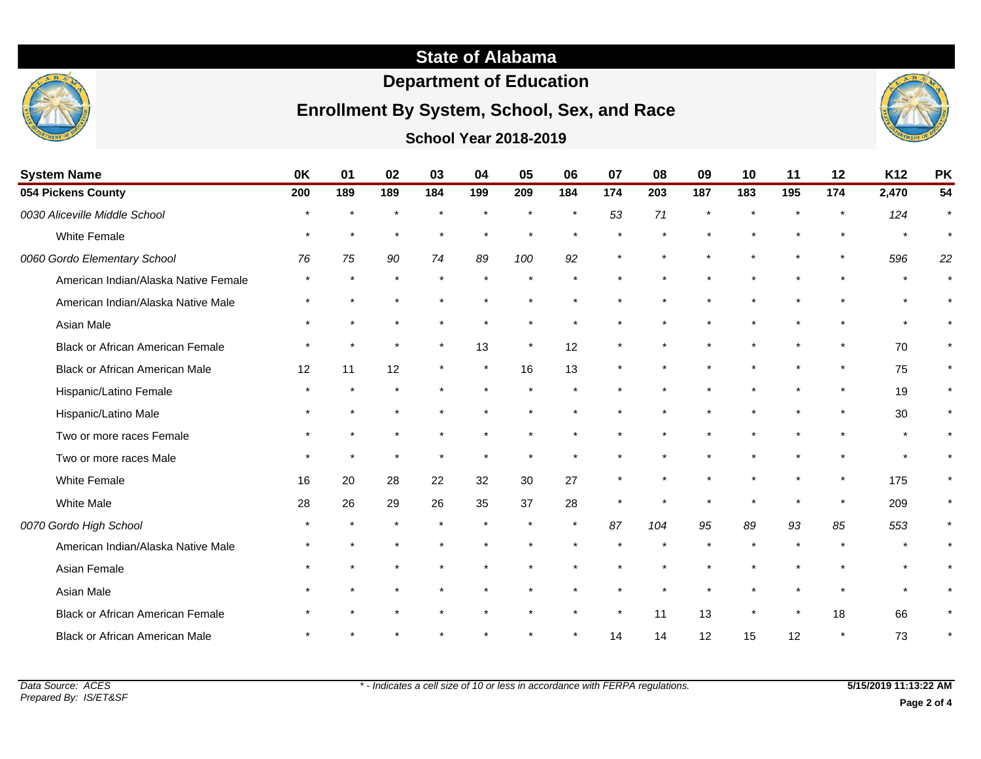# **State of Alabama**

# **Department of Education**

## **Enrollment By System, School, Sex, and Race**

### **School Year 2018-2019**



|                               |         | 0K<br>01<br>04<br>05<br>03<br>02 |         |         |         |         |         |         |         |         |         |           |         |       |    |
|-------------------------------|---------|----------------------------------|---------|---------|---------|---------|---------|---------|---------|---------|---------|-----------|---------|-------|----|
| <b>System Name</b>            |         |                                  |         | 06      | 07      | 08      | 09      | 10      | 11      | 12      | K12     | <b>PK</b> |         |       |    |
| 054 Pickens County            | 200     | 189                              | 189     | 184     | 199     | 209     | 184     | 174     | 203     | 187     | 183     | 195       | 174     | 2,470 | 54 |
| 0030 Aliceville Middle School | $\star$ | $\star$                          | $\star$ | $\star$ | $\star$ | $\star$ | $\star$ | 53      | 71      | $\star$ | $\star$ | $\star$   |         | 124   |    |
| White Female                  | $\star$ | $\star$                          | $\star$ | $\star$ | $\star$ | $\star$ | $\star$ | $\star$ | $\star$ | $\star$ | $\star$ | $\star$   | $\star$ |       |    |
| 0060 Gordo Elementary School  | 76      | 75                               | 90      | 74      | 89      | 100     | 92      | $\star$ | $\star$ | $\star$ | $\star$ | $\star$   | $\star$ | 596   | 22 |

| 054 Pickens County                      | 200 | 189     | 189     | 184     | 199     | 209     | 184     | 174     | 203 | 187 | 183     | 195 | 174     | 2,470                | 54      |
|-----------------------------------------|-----|---------|---------|---------|---------|---------|---------|---------|-----|-----|---------|-----|---------|----------------------|---------|
| 0030 Aliceville Middle School           |     |         |         |         |         |         |         | 53      | 71  |     |         |     | $\star$ | 124                  | $\star$ |
| White Female                            |     | $\star$ | $\star$ |         |         |         |         |         |     |     |         |     |         | $\ddot{\phantom{1}}$ | $\star$ |
| 0060 Gordo Elementary School            | 76  | 75      | 90      | 74      | 89      | 100     | 92      |         |     |     |         |     | $\star$ | 596                  | 22      |
| American Indian/Alaska Native Female    |     | $\star$ | $\star$ | $\star$ |         |         |         |         |     |     |         |     |         | $\star$              | $\star$ |
| American Indian/Alaska Native Male      |     |         |         |         |         |         |         |         |     |     |         |     |         |                      |         |
| Asian Male                              |     |         |         |         |         |         |         |         |     |     |         |     |         |                      |         |
| <b>Black or African American Female</b> |     | $\star$ | $\star$ | $\star$ | 13      | $\star$ | 12      | $\star$ |     |     |         |     | $\star$ | 70                   | $\star$ |
| <b>Black or African American Male</b>   | 12  | 11      | 12      | $\star$ | $\star$ | 16      | 13      |         |     |     |         |     | $\star$ | 75                   | $\star$ |
| Hispanic/Latino Female                  |     |         |         |         |         |         |         |         |     |     |         |     | $\star$ | 19                   | $\star$ |
| Hispanic/Latino Male                    |     |         |         |         |         |         |         |         |     |     |         |     | $\star$ | 30                   | $\star$ |
| Two or more races Female                |     |         |         |         |         |         |         |         |     |     |         |     |         | $\star$              |         |
| Two or more races Male                  |     |         |         |         |         |         |         |         |     |     |         |     |         | $\star$              |         |
| <b>White Female</b>                     | 16  | 20      | 28      | 22      | 32      | 30      | 27      | $\star$ |     |     |         |     | $\star$ | 175                  | $\star$ |
| White Male                              | 28  | 26      | 29      | 26      | 35      | 37      | 28      | $\star$ |     |     |         |     | $\star$ | 209                  | $\star$ |
| 0070 Gordo High School                  |     |         |         |         |         | $\star$ | $\star$ | 87      | 104 | 95  | 89      | 93  | 85      | 553                  | $\star$ |
| American Indian/Alaska Native Male      |     |         |         |         |         |         |         |         |     |     |         |     |         |                      |         |
| Asian Female                            |     |         |         |         |         |         |         |         |     |     |         |     |         | $\star$              |         |
| Asian Male                              |     |         |         |         |         |         |         |         |     |     |         |     | $\star$ |                      | $\star$ |
| Black or African American Female        |     |         |         |         |         |         |         | $\star$ | 11  | 13  | $\star$ |     | 18      | 66                   | $\star$ |
| <b>Black or African American Male</b>   |     |         |         |         |         |         |         | 14      | 14  | 12  | 15      | 12  | $\star$ | 73                   | $\star$ |
|                                         |     |         |         |         |         |         |         |         |     |     |         |     |         |                      |         |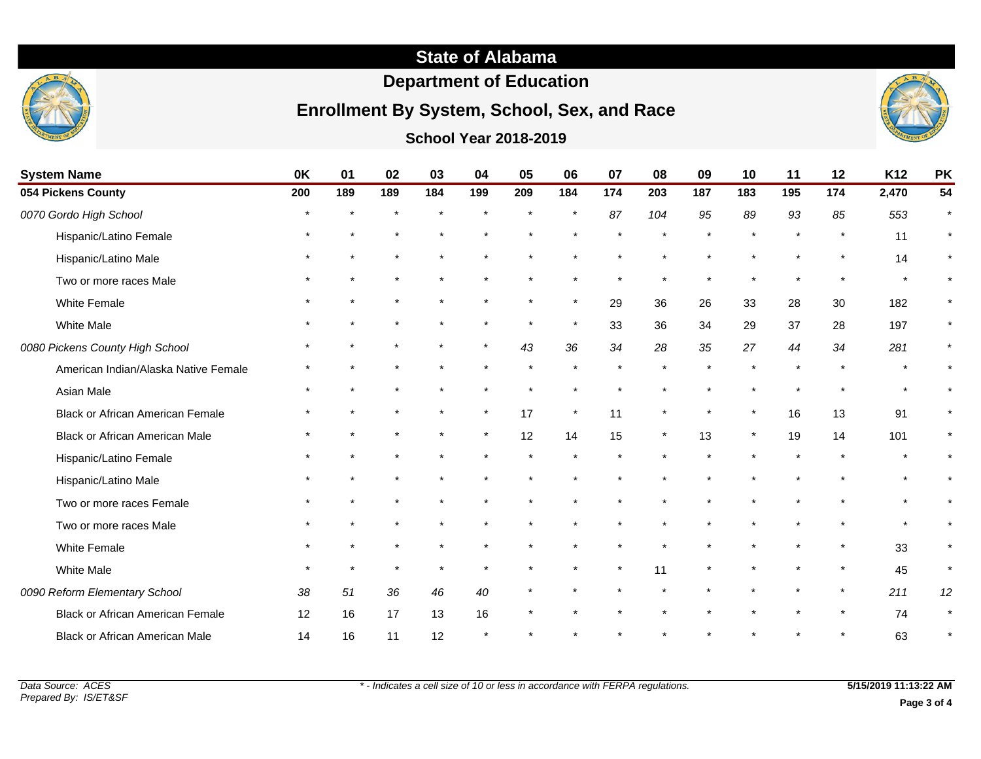

# **Department of Education**

# **Enrollment By System, School, Sex, and Race**



**School Year 2018-2019**

| <b>System Name</b>                      | 0K  | 01      | 02     | 03  | 04      | 05  | 06      | 07      | 08      | 09  | 10      | 11      | 12      | K12   | <b>PK</b> |
|-----------------------------------------|-----|---------|--------|-----|---------|-----|---------|---------|---------|-----|---------|---------|---------|-------|-----------|
| 054 Pickens County                      | 200 | 189     | 189    | 184 | 199     | 209 | 184     | 174     | 203     | 187 | 183     | 195     | 174     | 2,470 | 54        |
| 0070 Gordo High School                  |     |         | $\ast$ |     | $\star$ |     | $\star$ | 87      | 104     | 95  | 89      | 93      | 85      | 553   | $\star$   |
| Hispanic/Latino Female                  |     |         |        |     |         |     |         |         |         |     |         | $\star$ |         | 11    | $\star$   |
| Hispanic/Latino Male                    |     |         |        |     |         |     |         |         |         |     |         |         | $\star$ | 14    | $\star$   |
| Two or more races Male                  |     |         |        |     |         |     |         |         |         |     |         |         |         |       |           |
| White Female                            |     |         |        |     |         |     | $\star$ | 29      | 36      | 26  | 33      | 28      | 30      | 182   |           |
| <b>White Male</b>                       |     |         |        |     |         |     | $\star$ | 33      | 36      | 34  | 29      | 37      | 28      | 197   | $\star$   |
| 0080 Pickens County High School         |     |         |        |     | $\star$ | 43  | 36      | 34      | 28      | 35  | 27      | 44      | 34      | 281   |           |
| American Indian/Alaska Native Female    |     |         |        |     |         |     | $\star$ |         |         |     |         | $\star$ | $\star$ |       |           |
| Asian Male                              |     |         |        |     |         |     | $\star$ |         |         |     |         | $\star$ |         |       |           |
| <b>Black or African American Female</b> |     |         |        |     | $\star$ | 17  | $\star$ | 11      | $\star$ |     | $\star$ | 16      | 13      | 91    | $\star$   |
| <b>Black or African American Male</b>   |     |         |        |     | $\star$ | 12  | 14      | 15      | $\star$ | 13  | $\star$ | 19      | 14      | 101   | $\star$   |
| Hispanic/Latino Female                  |     |         |        |     |         |     | $\star$ |         |         |     |         |         |         |       |           |
| Hispanic/Latino Male                    |     |         |        |     |         |     |         |         |         |     |         |         |         |       |           |
| Two or more races Female                |     |         |        |     |         |     |         |         |         |     |         |         |         |       | $\star$   |
| Two or more races Male                  |     |         |        |     |         |     |         |         |         |     |         |         |         |       |           |
| White Female                            |     |         |        |     |         |     |         |         |         |     |         | $\star$ | $\star$ | 33    | $\star$   |
| <b>White Male</b>                       |     | $\star$ |        |     |         |     | $\star$ | $\star$ | 11      |     |         |         | *       | 45    | $\star$   |
| 0090 Reform Elementary School           | 38  | 51      | 36     | 46  | 40      |     |         |         |         |     |         | $\star$ | $\star$ | 211   | 12        |
| <b>Black or African American Female</b> | 12  | 16      | 17     | 13  | 16      |     |         |         |         |     |         |         |         | 74    | $\star$   |
| <b>Black or African American Male</b>   | 14  | 16      | 11     | 12  |         |     |         |         |         |     |         |         |         | 63    |           |